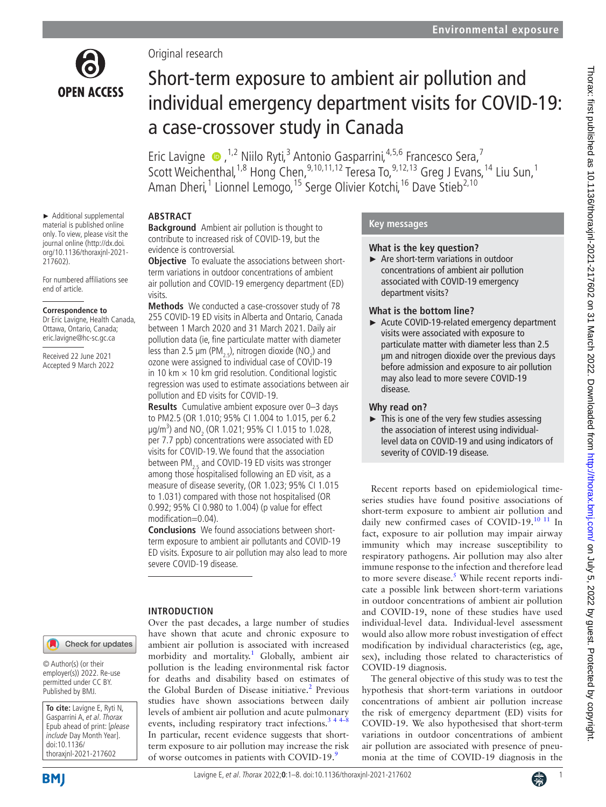

► Additional supplemental material is published online only. To view, please visit the journal online ([http://dx.doi.](http://dx.doi.org/10.1136/thoraxjnl-2021-217602) [org/10.1136/thoraxjnl-2021-](http://dx.doi.org/10.1136/thoraxjnl-2021-217602)

For numbered affiliations see

**Correspondence to** Dr Eric Lavigne, Health Canada, Ottawa, Ontario, Canada; eric.lavigne@hc-sc.gc.ca Received 22 June 2021 Accepted 9 March 2022

[217602](http://dx.doi.org/10.1136/thoraxjnl-2021-217602)).

end of article.

Original research

# Short-term exposure to ambient air pollution and individual emergency department visits for COVID-19: a case-crossover study in Canada

Eric Lavigne  $\bullet$ , <sup>1,2</sup> Niilo Ryti,<sup>3</sup> Antonio Gasparrini, <sup>4,5,6</sup> Francesco Sera,<sup>7</sup> Scott Weichenthal,<sup>1,8</sup> Hong Chen,<sup>9,10,11,12</sup> Teresa To,<sup>9,12,13</sup> Greg J Evans,<sup>14</sup> Liu Sun,<sup>1</sup> Aman Dheri,<sup>1</sup> Lionnel Lemogo,<sup>15</sup> Serge Olivier Kotchi,<sup>16</sup> Dave Stieb<sup>2,10</sup>

# **ABSTRACT**

**Background** Ambient air pollution is thought to contribute to increased risk of COVID-19, but the evidence is controversial.

**Objective** To evaluate the associations between shortterm variations in outdoor concentrations of ambient air pollution and COVID-19 emergency department (ED) visits.

**Methods** We conducted a case-crossover study of 78 255 COVID-19 ED visits in Alberta and Ontario, Canada between 1 March 2020 and 31 March 2021. Daily air pollution data (ie, fine particulate matter with diameter less than 2.5  $\mu$ m (PM<sub>2.5</sub>), nitrogen dioxide (NO<sub>2</sub>) and ozone were assigned to individual case of COVID-19 in 10 km  $\times$  10 km grid resolution. Conditional logistic regression was used to estimate associations between air pollution and ED visits for COVID-19.

**Results** Cumulative ambient exposure over 0–3 days to PM2.5 (OR 1.010; 95% CI 1.004 to 1.015, per 6.2  $\mu$ g/m<sup>3</sup>) and NO<sub>2</sub> (OR 1.021; 95% CI 1.015 to 1.028, per 7.7 ppb) concentrations were associated with ED visits for COVID-19. We found that the association between  $PM_{2.5}$  and COVID-19 ED visits was stronger among those hospitalised following an ED visit, as a measure of disease severity, (OR 1.023; 95% CI 1.015 to 1.031) compared with those not hospitalised (OR 0.992; 95% CI 0.980 to 1.004) (p value for effect modification=0.04).

**Conclusions** We found associations between shortterm exposure to ambient air pollutants and COVID-19 ED visits. Exposure to air pollution may also lead to more severe COVID-19 disease.

Over the past decades, a large number of studies

# **INTRODUCTION**

Check for updates

© Author(s) (or their employer(s)) 2022. Re-use permitted under CC BY. Published by BMJ.

**To cite:** Lavigne E, Ryti N, Gasparrini A, et al. Thorax Epub ahead of print: [please include Day Month Year]. doi:10.1136/ thoraxjnl-2021-217602



#### have shown that acute and chronic exposure to ambient air pollution is associated with increased morbidity and mortality.<sup>[1](#page-6-0)</sup> Globally, ambient air pollution is the leading environmental risk factor for deaths and disability based on estimates of the Global Burden of Disease initiative.<sup>2</sup> Previous studies have shown associations between daily levels of ambient air pollution and acute pulmonary events, including respiratory tract infections.<sup>3</sup>  $44-8$ In particular, recent evidence suggests that shortterm exposure to air pollution may increase the risk of worse outcomes in patients with COVID-1[9](#page-6-3).<sup>9</sup>

# **Key messages**

## **What is the key question?**

► Are short-term variations in outdoor concentrations of ambient air pollution associated with COVID-19 emergency department visits?

## **What is the bottom line?**

► Acute COVID-19-related emergency department visits were associated with exposure to particulate matter with diameter less than 2.5 μm and nitrogen dioxide over the previous days before admission and exposure to air pollution may also lead to more severe COVID-19 disease.

## **Why read on?**

 $\blacktriangleright$  This is one of the very few studies assessing the association of interest using individuallevel data on COVID-19 and using indicators of severity of COVID-19 disease.

Recent reports based on epidemiological timeseries studies have found positive associations of short-term exposure to ambient air pollution and daily new confirmed cases of COVID-19.[10 11](#page-6-4) In fact, exposure to air pollution may impair airway immunity which may increase susceptibility to respiratory pathogens. Air pollution may also alter immune response to the infection and therefore lead to more severe disease.<sup>[5](#page-6-5)</sup> While recent reports indicate a possible link between short-term variations in outdoor concentrations of ambient air pollution and COVID-19, none of these studies have used individual-level data. Individual-level assessment would also allow more robust investigation of effect modification by individual characteristics (eg, age, sex), including those related to characteristics of COVID-19 diagnosis.

The general objective of this study was to test the hypothesis that short-term variations in outdoor concentrations of ambient air pollution increase the risk of emergency department (ED) visits for COVID-19. We also hypothesised that short-term variations in outdoor concentrations of ambient air pollution are associated with presence of pneumonia at the time of COVID-19 diagnosis in the

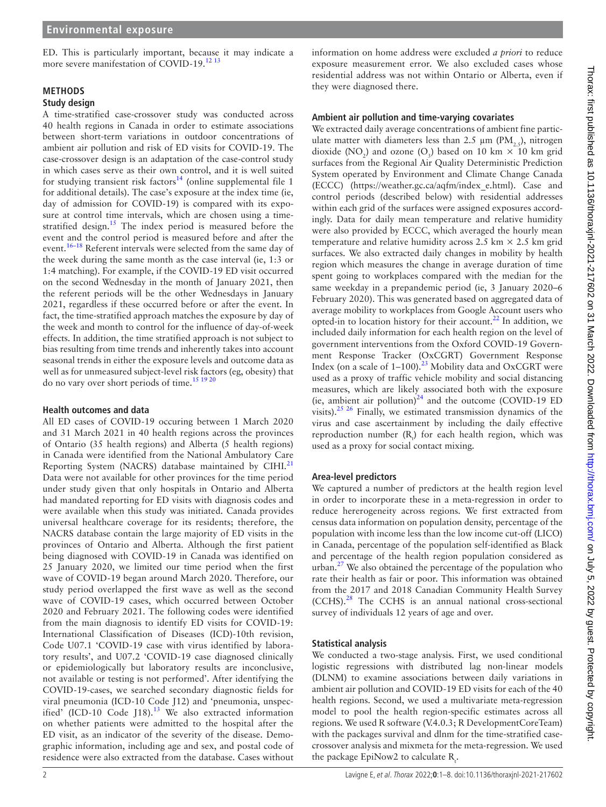ED. This is particularly important, because it may indicate a more severe manifestation of COVID-19.<sup>[12 13](#page-6-6)</sup>

#### **METHODS**

#### **Study design**

A time-stratified case-crossover study was conducted across 40 health regions in Canada in order to estimate associations between short-term variations in outdoor concentrations of ambient air pollution and risk of ED visits for COVID-19. The case-crossover design is an adaptation of the case-control study in which cases serve as their own control, and it is well suited for studying transient risk factors<sup>14</sup> (online supplemental file 1 for additional details). The case's exposure at the index time (ie, day of admission for COVID-19) is compared with its exposure at control time intervals, which are chosen using a time-stratified design.<sup>[15](#page-6-8)</sup> The index period is measured before the event and the control period is measured before and after the event.[16–18](#page-6-9) Referent intervals were selected from the same day of the week during the same month as the case interval (ie, 1:3 or 1:4 matching). For example, if the COVID-19 ED visit occurred on the second Wednesday in the month of January 2021, then the referent periods will be the other Wednesdays in January 2021, regardless if these occurred before or after the event. In fact, the time-stratified approach matches the exposure by day of the week and month to control for the influence of day-of-week effects. In addition, the time stratified approach is not subject to bias resulting from time trends and inherently takes into account seasonal trends in either the exposure levels and outcome data as well as for unmeasured subject-level risk factors (eg, obesity) that do no vary over short periods of time.<sup>15 19 20</sup>

#### **Health outcomes and data**

All ED cases of COVID-19 occuring between 1 March 2020 and 31 March 2021 in 40 health regions across the provinces of Ontario (35 health regions) and Alberta (5 health regions) in Canada were identified from the National Ambulatory Care Reporting System (NACRS) database maintained by CIHI.<sup>[21](#page-6-10)</sup> Data were not available for other provinces for the time period under study given that only hospitals in Ontario and Alberta had mandated reporting for ED visits with diagnosis codes and were available when this study was initiated. Canada provides universal healthcare coverage for its residents; therefore, the NACRS database contain the large majority of ED visits in the provinces of Ontario and Alberta. Although the first patient being diagnosed with COVID-19 in Canada was identified on 25 January 2020, we limited our time period when the first wave of COVID-19 began around March 2020. Therefore, our study period overlapped the first wave as well as the second wave of COVID-19 cases, which occurred between October 2020 and February 2021. The following codes were identified from the main diagnosis to identify ED visits for COVID-19: International Classification of Diseases (ICD)-10th revision, Code U07.1 'COVID-19 case with virus identified by laboratory results', and U07.2 'COVID-19 case diagnosed clinically or epidemiologically but laboratory results are inconclusive, not available or testing is not performed'. After identifying the COVID-19-cases, we searched secondary diagnostic fields for viral pneumonia (ICD-10 Code J12) and 'pneumonia, unspecified' (ICD-10 Code  $[18]$ .<sup>[13](#page-6-11)</sup> We also extracted information on whether patients were admitted to the hospital after the ED visit, as an indicator of the severity of the disease. Demographic information, including age and sex, and postal code of residence were also extracted from the database. Cases without

information on home address were excluded *a priori* to reduce exposure measurement error. We also excluded cases whose residential address was not within Ontario or Alberta, even if they were diagnosed there.

#### **Ambient air pollution and time-varying covariates**

We extracted daily average concentrations of ambient fine particulate matter with diameters less than 2.5  $\mu$ m (PM,  $\epsilon$ ), nitrogen dioxide (NO<sub>2</sub>) and ozone (O<sub>3</sub>) based on 10 km  $\times$  10 km grid surfaces from the Regional Air Quality Deterministic Prediction System operated by Environment and Climate Change Canada (ECCC) [\(https://weather.gc.ca/aqfm/index\\_e.html\)](https://weather.gc.ca/aqfm/index_e.html). Case and control periods (described below) with residential addresses within each grid of the surfaces were assigned exposures accordingly. Data for daily mean temperature and relative humidity were also provided by ECCC, which averaged the hourly mean temperature and relative humidity across 2.5 km  $\times$  2.5 km grid surfaces. We also extracted daily changes in mobility by health region which measures the change in average duration of time spent going to workplaces compared with the median for the same weekday in a prepandemic period (ie, 3 January 2020–6 February 2020). This was generated based on aggregated data of average mobility to workplaces from Google Account users who opted-in to location history for their account.<sup>22</sup> In addition, we included daily information for each health region on the level of government interventions from the Oxford COVID-19 Government Response Tracker (OxCGRT) Government Response Index (on a scale of  $1-100$ ).<sup>23</sup> Mobility data and OxCGRT were used as a proxy of traffic vehicle mobility and social distancing measures, which are likely associated both with the exposure (ie, ambient air pollution)<sup>[24](#page-6-14)</sup> and the outcome (COVID-19 ED visits).<sup>[25 26](#page-6-15)</sup> Finally, we estimated transmission dynamics of the virus and case ascertainment by including the daily effective reproduction number  $(R<sub>1</sub>)$  for each health region, which was used as a proxy for social contact mixing.

## **Area-level predictors**

We captured a number of predictors at the health region level in order to incorporate these in a meta-regression in order to reduce hererogeneity across regions. We first extracted from census data information on population density, percentage of the population with income less than the low income cut-off (LICO) in Canada, percentage of the population self-identified as Black and percentage of the health region population considered as urban.<sup>[27](#page-6-16)</sup> We also obtained the percentage of the population who rate their health as fair or poor. This information was obtained from the 2017 and 2018 Canadian Community Health Survey (CCHS).[28](#page-6-17) The CCHS is an annual national cross-sectional survey of individuals 12 years of age and over.

## **Statistical analysis**

We conducted a two-stage analysis. First, we used conditional logistic regressions with distributed lag non-linear models (DLNM) to examine associations between daily variations in ambient air pollution and COVID-19 ED visits for each of the 40 health regions. Second, we used a multivariate meta-regression model to pool the health region-specific estimates across all regions. We used R software (V.4.0.3; R DevelopmentCoreTeam) with the packages survival and dlnm for the time-stratified casecrossover analysis and mixmeta for the meta-regression. We used the package EpiNow2 to calculate  $R_t$ .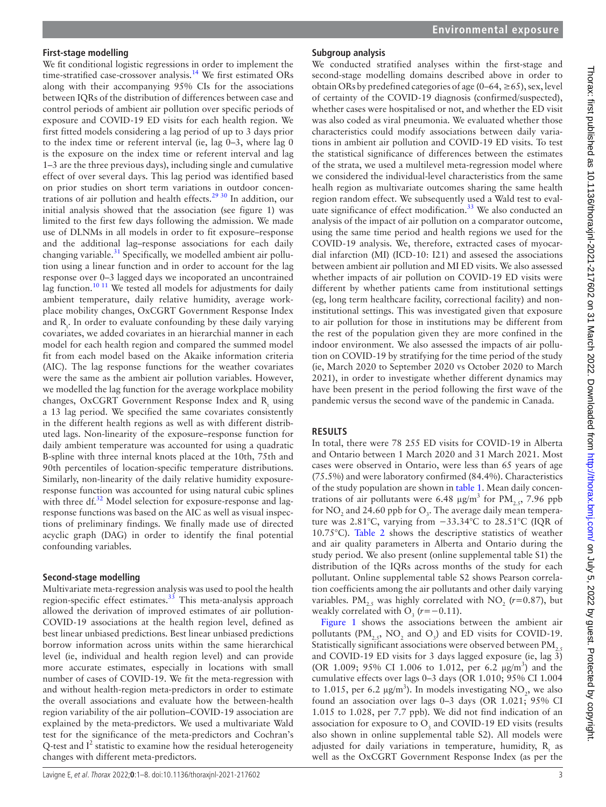We fit conditional logistic regressions in order to implement the time-stratified case-crossover analysis.<sup>[14](#page-6-7)</sup> We first estimated ORs along with their accompanying 95% CIs for the associations between IQRs of the distribution of differences between case and control periods of ambient air pollution over specific periods of exposure and COVID-19 ED visits for each health region. We first fitted models considering a lag period of up to 3 days prior to the index time or referent interval (ie, lag 0–3, where lag 0 is the exposure on the index time or referent interval and lag 1–3 are the three previous days), including single and cumulative effect of over several days. This lag period was identified based on prior studies on short term variations in outdoor concentrations of air pollution and health effects.<sup>29 30</sup> In addition, our initial analysis showed that the association (see [figure 1](https://dx.doi.org/10.1136/thoraxjnl-2021-217602)) was limited to the first few days following the admission. We made use of DLNMs in all models in order to fit exposure–response and the additional lag–response associations for each daily changing variable. $31$  Specifically, we modelled ambient air pollution using a linear function and in order to account for the lag response over 0–3 lagged days we incoporated an uncontrained lag function.<sup>10 11</sup> We tested all models for adjustments for daily ambient temperature, daily relative humidity, average workplace mobility changes, OxCGRT Government Response Index and  $R_t$ . In order to evaluate confounding by these daily varying covariates, we added covariates in an hierarchial manner in each model for each health region and compared the summed model fit from each model based on the Akaike information criteria (AIC). The lag response functions for the weather covariates were the same as the ambient air pollution variables. However, we modelled the lag function for the average workplace mobility changes, OxCGRT Government Response Index and  $R_t$  using a 13 lag period. We specified the same covariates consistently in the different health regions as well as with different distributed lags. Non-linearity of the exposure–response function for daily ambient temperature was accounted for using a quadratic B-spline with three internal knots placed at the 10th, 75th and 90th percentiles of location-specific temperature distributions. Similarly, non-linearity of the daily relative humidity exposureresponse function was accounted for using natural cubic splines with three  $df^{32}$  $df^{32}$  $df^{32}$  Model selection for exposure-response and lagresponse functions was based on the AIC as well as visual inspections of preliminary findings. We finally made use of directed acyclic graph (DAG) in order to identify the final potential confounding variables.

#### **Second-stage modelling**

Multivariate meta-regression analysis was used to pool the health region-specific effect estimates. $33$  This meta-analysis approach allowed the derivation of improved estimates of air pollution-COVID-19 associations at the health region level, defined as best linear unbiased predictions. Best linear unbiased predictions borrow information across units within the same hierarchical level (ie, individual and health region level) and can provide more accurate estimates, especially in locations with small number of cases of COVID-19. We fit the meta-regression with and without health-region meta-predictors in order to estimate the overall associations and evaluate how the between-health region variability of the air pollution–COVID-19 association are explained by the meta-predictors. We used a multivariate Wald test for the significance of the meta-predictors and Cochran's Q-test and  $I^2$  statistic to examine how the residual heterogeneity changes with different meta-predictors.

## **Subgroup analysis**

We conducted stratified analyses within the first-stage and second-stage modelling domains described above in order to obtain ORs by predefined categories of age (0–64,  $\geq$  65), sex, level of certainty of the COVID-19 diagnosis (confirmed/suspected), whether cases were hospitalised or not, and whether the ED visit was also coded as viral pneumonia. We evaluated whether those characteristics could modify associations between daily variations in ambient air pollution and COVID-19 ED visits. To test the statistical significance of differences between the estimates of the strata, we used a multilevel meta-regression model where we considered the individual-level characteristics from the same healh region as multivariate outcomes sharing the same health region random effect. We subsequently used a Wald test to evaluate significance of effect modification. $33$  We also conducted an analysis of the impact of air pollution on a comparator outcome, using the same time period and health regions we used for the COVID-19 analysis. We, therefore, extracted cases of myocardial infarction (MI) (ICD-10: I21) and assesed the associations between ambient air pollution and MI ED visits. We also assessed whether impacts of air pollution on COVID-19 ED visits were different by whether patients came from institutional settings (eg, long term healthcare facility, correctional facility) and noninstitutional settings. This was investigated given that exposure to air pollution for those in institutions may be different from the rest of the population given they are more confined in the indoor environment. We also assessed the impacts of air pollution on COVID-19 by stratifying for the time period of the study (ie, March 2020 to September 2020 vs October 2020 to March 2021), in order to investigate whether different dynamics may have been present in the period following the first wave of the pandemic versus the second wave of the pandemic in Canada.

## **RESULTS**

In total, there were 78 255 ED visits for COVID-19 in Alberta and Ontario between 1 March 2020 and 31 March 2021. Most cases were observed in Ontario, were less than 65 years of age (75.5%) and were laboratory confirmed (84.4%). Characteristics of the study population are shown in [table](#page-3-0) 1. Mean daily concentrations of air pollutants were 6.48  $\mu$ g/m<sup>3</sup> for PM<sub>2.5</sub>, 7.96 ppb for  $\mathrm{NO}_2$  and 24.60 ppb for  $\mathrm{O}_3$ . The average daily mean temperature was 2.81°C, varying from −33.34°C to 28.51°C (IQR of 10.75°C). [Table](#page-3-1) 2 shows the descriptive statistics of weather and air quality parameters in Alberta and Ontario during the study period. We also present [\(online supplemental table S1\)](https://dx.doi.org/10.1136/thoraxjnl-2021-217602) the distribution of the IQRs across months of the study for each pollutant. [Online supplemental table S2](https://dx.doi.org/10.1136/thoraxjnl-2021-217602) shows Pearson correlation coefficients among the air pollutants and other daily varying variables. PM<sub>2.5</sub> was highly correlated with  $NO_2$  ( $r=0.87$ ), but weakly correlated with  $O_3$  ( $r=-0.11$ ).

[Figure](#page-4-0) 1 shows the associations between the ambient air pollutants ( $\text{PM}_{2.5}$ , NO<sub>2</sub> and O<sub>3</sub>) and ED visits for COVID-19. Statistically significant associations were observed between  $\text{PM}_{2.5}$ and COVID-19 ED visits for 3 days lagged exposure (ie, lag 3) (OR 1.009; 95% CI 1.006 to 1.012, per 6.2 µg/m<sup>3</sup>) and the cumulative effects over lags 0–3 days (OR 1.010; 95% CI 1.004 to 1.015, per 6.2  $\mu$ g/m<sup>3</sup>). In models investigating NO<sub>2</sub>, we also found an association over lags 0–3 days (OR 1.021; 95% CI 1.015 to 1.028, per 7.7 ppb). We did not find indication of an association for exposure to  $O_3$  and COVID-19 ED visits (results also shown in [online supplemental table S2\)](https://dx.doi.org/10.1136/thoraxjnl-2021-217602). All models were adjusted for daily variations in temperature, humidity,  $R_t$  as well as the OxCGRT Government Response Index (as per the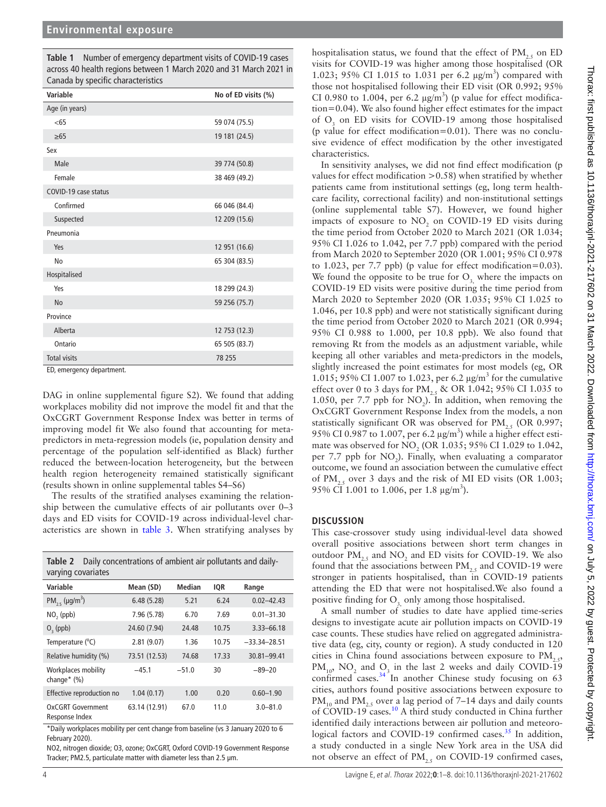<span id="page-3-0"></span>**Table 1** Number of emergency department visits of COVID-19 cases across 40 health regions between 1 March 2020 and 31 March 2021 in Canada by specific characteristics

| Variable             | No of ED visits (%) |
|----------------------|---------------------|
| Age (in years)       |                     |
| <65                  | 59 074 (75.5)       |
| $\geq 65$            | 19 181 (24.5)       |
| Sex                  |                     |
| Male                 | 39 774 (50.8)       |
| Female               | 38 469 (49.2)       |
| COVID-19 case status |                     |
| Confirmed            | 66 046 (84.4)       |
| Suspected            | 12 209 (15.6)       |
| Pneumonia            |                     |
| Yes                  | 12 951 (16.6)       |
| No                   | 65 304 (83.5)       |
| Hospitalised         |                     |
| Yes                  | 18 299 (24.3)       |
| <b>No</b>            | 59 256 (75.7)       |
| Province             |                     |
| Alberta              | 12 753 (12.3)       |
| Ontario              | 65 505 (83.7)       |
| <b>Total visits</b>  | 78 255              |

ED, emergency department.

DAG in [online supplemental figure S2](https://dx.doi.org/10.1136/thoraxjnl-2021-217602)). We found that adding workplaces mobility did not improve the model fit and that the OxCGRT Government Response Index was better in terms of improving model fit We also found that accounting for metapredictors in meta-regression models (ie, population density and percentage of the population self-identified as Black) further reduced the between-location heterogeneity, but the between health region heterogeneity remained statistically significant (results shown in [online supplemental tables S4–S6](https://dx.doi.org/10.1136/thoraxjnl-2021-217602))

The results of the stratified analyses examining the relationship between the cumulative effects of air pollutants over 0–3 days and ED visits for COVID-19 across individual-level characteristics are shown in [table](#page-5-0) 3. When stratifying analyses by

<span id="page-3-1"></span>

| Daily concentrations of ambient air pollutants and daily-<br>Table 2<br>varying covariates |               |               |       |                  |  |
|--------------------------------------------------------------------------------------------|---------------|---------------|-------|------------------|--|
| Variable                                                                                   | Mean (SD)     | <b>Median</b> | IQR   | Range            |  |
| PM <sub>2.5</sub> ( $\mu$ g/m <sup>3</sup> )                                               | 6.48(5.28)    | 5.21          | 6.24  | $0.02 - 42.43$   |  |
| $NO2$ (ppb)                                                                                | 7.96 (5.78)   | 6.70          | 7.69  | $0.01 - 31.30$   |  |
| $O2$ (ppb)                                                                                 | 24.60 (7.94)  | 24.48         | 10.75 | 3.33-66.18       |  |
| Temperature (°C)                                                                           | 2.81(9.07)    | 1.36          | 10.75 | $-33.34 - 28.51$ |  |
| Relative humidity (%)                                                                      | 73.51 (12.53) | 74.68         | 17.33 | 30.81-99.41      |  |
| Workplaces mobility<br>change $*(\%)$                                                      | $-45.1$       | $-51.0$       | 30    | $-89-20$         |  |
| Effective reproduction no                                                                  | 1.04(0.17)    | 1.00          | 0.20  | $0.60 - 1.90$    |  |
| OxCGRT Government<br>Response Index                                                        | 63.14 (12.91) | 67.0          | 11.0  | $3.0 - 81.0$     |  |

\*Daily workplaces mobility per cent change from baseline (vs 3 January 2020 to 6 February 2020).

NO2, nitrogen dioxide; O3, ozone; OxCGRT, Oxford COVID-19 Government Response Tracker; PM2.5, particulate matter with diameter less than 2.5 μm.

hospitalisation status, we found that the effect of  $PM$ <sub>25</sub> on ED visits for COVID-19 was higher among those hospitalised (OR 1.023; 95% CI 1.015 to 1.031 per 6.2  $\mu$ g/m<sup>3</sup>) compared with those not hospitalised following their ED visit (OR 0.992; 95% CI 0.980 to 1.004, per 6.2  $\mu$ g/m<sup>3</sup>) (p value for effect modification=0.04). We also found higher effect estimates for the impact of  $O_3$  on ED visits for COVID-19 among those hospitalised (p value for effect modification=0.01). There was no conclusive evidence of effect modification by the other investigated characteristics.

In sensitivity analyses, we did not find effect modification (p values for effect modification >0.58) when stratified by whether patients came from institutional settings (eg, long term healthcare facility, correctional facility) and non-institutional settings ([online supplemental table S7\)](https://dx.doi.org/10.1136/thoraxjnl-2021-217602). However, we found higher impacts of exposure to  $NO<sub>2</sub>$  on COVID-19 ED visits during the time period from October 2020 to March 2021 (OR 1.034; 95% CI 1.026 to 1.042, per 7.7 ppb) compared with the period from March 2020 to September 2020 (OR 1.001; 95% CI 0.978 to 1.023, per 7.7 ppb) (p value for effect modification=0.03). We found the opposite to be true for  $O<sub>z</sub>$ , where the impacts on COVID-19 ED visits were positive during the time period from March 2020 to September 2020 (OR 1.035; 95% CI 1.025 to 1.046, per 10.8 ppb) and were not statistically significant during the time period from October 2020 to March 2021 (OR 0.994; 95% CI 0.988 to 1.000, per 10.8 ppb). We also found that removing Rt from the models as an adjustment variable, while keeping all other variables and meta-predictors in the models, slightly increased the point estimates for most models (eg, OR 1.015; 95% CI 1.007 to 1.023, per 6.2  $\mu$ g/m<sup>3</sup> for the cumulative effect over 0 to 3 days for PM<sub>25</sub> & OR 1.042; 95% CI 1.035 to 1.050, per 7.7 ppb for  $NO<sub>2</sub>$ ). In addition, when removing the OxCGRT Government Response Index from the models, a non statistically significant OR was observed for  $PM_{2,5}$  (OR 0.997; 95% CI 0.987 to 1.007, per 6.2  $\mu$ g/m<sup>3</sup>) while a higher effect estimate was observed for  $NO_2$  (OR 1.035; 95% CI 1.029 to 1.042, per 7.7 ppb for  $NO_2$ ). Finally, when evaluating a comparator outcome, we found an association between the cumulative effect of PM<sub>25</sub> over 3 days and the risk of MI ED visits (OR 1.003; 95% CI 1.001 to 1.006, per 1.8  $\mu$ g/m<sup>3</sup>).

#### **DISCUSSION**

This case-crossover study using individual-level data showed overall positive associations between short term changes in outdoor  $PM_{2.5}$  and  $NO_2$  and ED visits for COVID-19. We also found that the associations between  $PM_{2,5}$  and COVID-19 were stronger in patients hospitalised, than in COVID-19 patients attending the ED that were not hospitalised.We also found a positive finding for O<sub>3</sub> only among those hospitalised.

A small number of studies to date have applied time-series designs to investigate acute air pollution impacts on COVID-19 case counts. These studies have relied on aggregated administrative data (eg, city, county or region). A study conducted in 120 cities in China found associations between exposure to  $PM$ <sub>2.5</sub>,  $PM_{10}$ ,  $NO_2$  and  $O_3$  in the last 2 weeks and daily COVID-19 confirmed cases.<sup>[34](#page-7-4)</sup> In another Chinese study focusing on 63 cities, authors found positive associations between exposure to  $PM_{10}$  and  $PM_{25}$  over a lag period of 7–14 days and daily counts of COVID-19 cases.<sup>[10](#page-6-4)</sup> A third study conducted in China further identified daily interactions between air pollution and meteorological factors and COVID-19 confirmed cases. $35$  In addition, a study conducted in a single New York area in the USA did not observe an effect of  $PM_{2,5}$  on COVID-19 confirmed cases,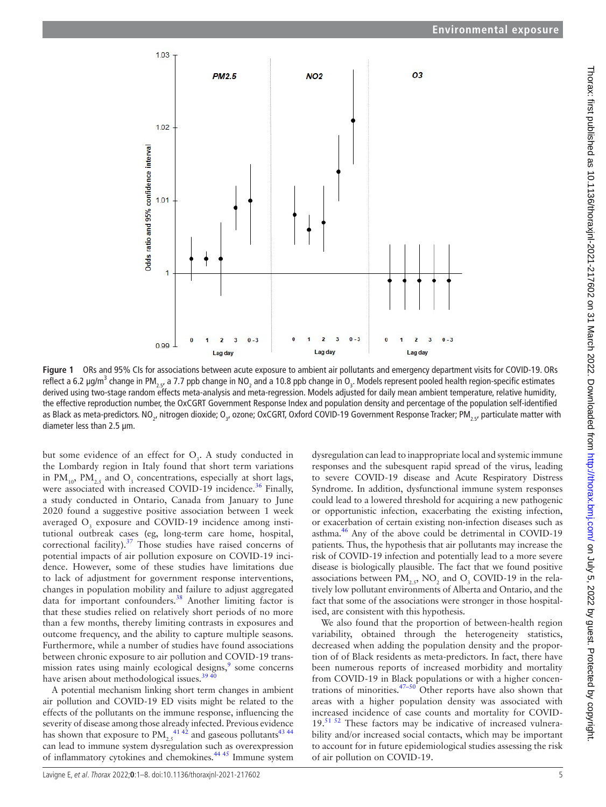

**Figure 1** ORs and 95% CIs for associations between acute exposure to ambient air pollutants and emergency department visits for COVID-19. ORs reflect a 6.2 µg/m<sup>3</sup> change in PM<sub>2.5</sub>, a 7.7 ppb change in NO<sub>2</sub> and a 10.8 ppb change in O<sub>3</sub>. Models represent pooled health region-specific estimates derived using two-stage random effects meta-analysis and meta-regression. Models adjusted for daily mean ambient temperature, relative humidity, the effective reproduction number, the OxCGRT Government Response Index and population density and percentage of the population self-identified as Black as meta-predictors. NO<sub>2</sub>, nitrogen dioxide; O<sub>3</sub>, ozone; OxCGRT, Oxford COVID-19 Government Response Tracker; PM<sub>2.5</sub>, particulate matter with diameter less than 2.5 μm.

but some evidence of an effect for  $O_3$ . A study conducted in the Lombardy region in Italy found that short term variations in  $PM_{10}$ ,  $PM_{2.5}$  and  $O_3$  concentrations, especially at short lags, were associated with increased COVID-19 incidence.<sup>36</sup> Finally, a study conducted in Ontario, Canada from January to June 2020 found a suggestive positive association between 1 week averaged  $O<sub>3</sub>$  exposure and COVID-19 incidence among institutional outbreak cases (eg, long-term care home, hospital, correctional facility).<sup>37</sup> Those studies have raised concerns of potential impacts of air pollution exposure on COVID-19 incidence. However, some of these studies have limitations due to lack of adjustment for government response interventions, changes in population mobility and failure to adjust aggregated data for important confounders.<sup>38</sup> Another limiting factor is that these studies relied on relatively short periods of no more than a few months, thereby limiting contrasts in exposures and outcome frequency, and the ability to capture multiple seasons. Furthermore, while a number of studies have found associations between chronic exposure to air pollution and COVID-19 trans-mission rates using mainly ecological designs,<sup>[9](#page-6-3)</sup> some concerns have arisen about methodological issues.<sup>39 40</sup>

A potential mechanism linking short term changes in ambient air pollution and COVID-19 ED visits might be related to the effects of the pollutants on the immune response, influencing the severity of disease among those already infected. Previous evidence has shown that exposure to  $\text{PM}_{2.5}^{\,41\,42}$  and gaseous pollutants<sup>[43 44](#page-7-11)</sup> can lead to immune system dysregulation such as overexpression of inflammatory cytokines and chemokines[.44 45](#page-7-12) Immune system

<span id="page-4-0"></span>dysregulation can lead to inappropriate local and systemic immune responses and the subesquent rapid spread of the virus, leading to severe COVID-19 disease and Acute Respiratory Distress Syndrome. In addition, dysfunctional immune system responses could lead to a lowered threshold for acquiring a new pathogenic or opportunistic infection, exacerbating the existing infection, or exacerbation of certain existing non-infection diseases such as asthma.<sup>[46](#page-7-13)</sup> Any of the above could be detrimental in COVID-19 patients. Thus, the hypothesis that air pollutants may increase the risk of COVID-19 infection and potentially lead to a more severe disease is biologically plausible. The fact that we found positive associations between  $\text{PM}_{2,5}$ , NO<sub>2</sub> and O<sub>3</sub> COVID-19 in the relatively low pollutant environments of Alberta and Ontario, and the fact that some of the associations were stronger in those hospitalised, are consistent with this hypothesis.

We also found that the proportion of between-health region variability, obtained through the heterogeneity statistics, decreased when adding the population density and the proportion of of Black residents as meta-predictors. In fact, there have been numerous reports of increased morbidity and mortality from COVID-19 in Black populations or with a higher concentrations of minorities. $47-50$  Other reports have also shown that areas with a higher population density was associated with increased incidence of case counts and mortality for COVID- $19.^{51}$   $\overline{52}$  These factors may be indicative of increased vulnerability and/or increased social contacts, which may be important to account for in future epidemiological studies assessing the risk of air pollution on COVID-19.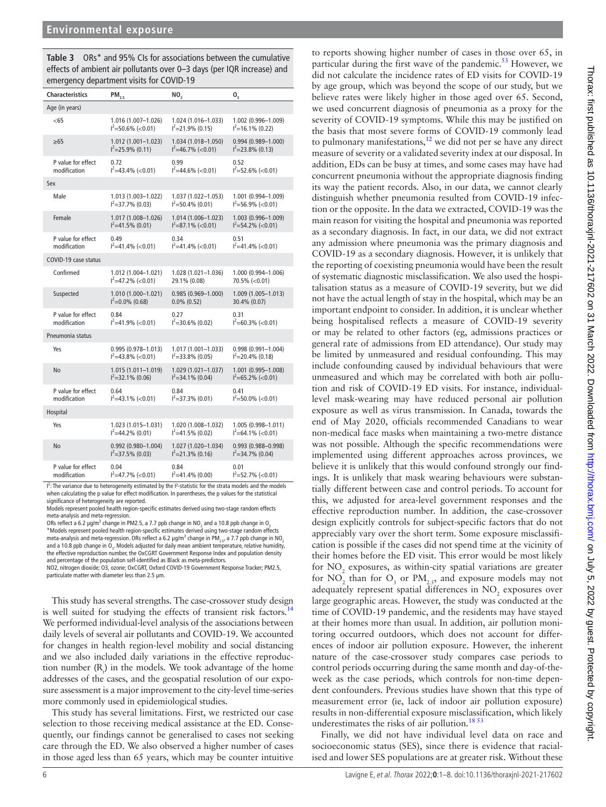<span id="page-5-0"></span>**Table 3** ORs\* and 95% CIs for associations between the cumulative effects of ambient air pollutants over 0–3 days (per IQR increase) and emergency department visits for COVID-19

| <b>Characteristics</b> | $PM_{2.5}$             | NO,                    | $\mathbf{0}_{_3}$      |
|------------------------|------------------------|------------------------|------------------------|
| Age (in years)         |                        |                        |                        |
| <65                    | 1.016 (1.007-1.026)    | 1.024 (1.016-1.033)    | 1.002 (0.996-1.009)    |
|                        | $I^2 = 50.6\%$ (<0.01) | $I^2 = 21.9\% (0.15)$  | $I^2$ =16.1% (0.22)    |
| $\geq 65$              | 1.012 (1.001-1.023)    | 1.034 (1.018-1.050)    | 0.994 (0.989-1.000)    |
|                        | $I^2 = 25.9\% (0.11)$  | $I^2=46.7\%$ (<0.01)   | $I^2 = 23.8\% (0.13)$  |
| P value for effect     | 0.72                   | 0.99                   | 0.52                   |
| modification           | $I^2=43.4\%$ (<0.01)   | $I^2=44.6\%$ (<0.01)   | $I^2 = 52.6\%$ (<0.01) |
| Sex                    |                        |                        |                        |
| Male                   | 1.013 (1.003-1.022)    | 1.037 (1.022-1.053)    | 1.001 (0.994-1.009)    |
|                        | $I^2 = 37.7\% (0.03)$  | $I^2 = 50.4\%$ (0.01)  | $I^2 = 56.9\%$ (<0.01) |
| Female                 | 1.017 (1.008-1.026)    | 1.014 (1.006-1.023)    | 1.003 (0.996-1.009)    |
|                        | $I^2$ =41.5% (0.01)    | $I^2 = 87.1\%$ (<0.01) | $I^2 = 54.2\%$ (<0.01) |
| P value for effect     | 0.49                   | 034                    | 0.51                   |
| modification           | $I^2$ =41.4% (<0.01)   | $I^2$ =41.4% (<0.01)   | $I^2$ =41.4% (<0.01)   |
| COVID-19 case status   |                        |                        |                        |
| Confirmed              | 1.012 (1.004-1.021)    | 1.028 (1.021-1.036)    | 1.000 (0.994-1.006)    |
|                        | $I^2$ =47.2% (<0.01)   | 29.1% (0.08)           | 70.5% (< 0.01)         |
| Suspected              | 1.010 (1.000-1.021)    | $0.985(0.969 - 1.000)$ | 1.009 (1.005-1.013)    |
|                        | $I^2=0.0\%$ (0.68)     | $0.0\%$ (0.52)         | 30.4% (0.07)           |
| P value for effect     | 0.84                   | 0.27                   | 0.31                   |
| modification           | $I^2$ =41.9% (<0.01)   | $I^2 = 30.6\% (0.02)$  | $I^2 = 60.3\%$ (<0.01) |
| Pneumonia status       |                        |                        |                        |
| Yes                    | $0.995(0.978 - 1.013)$ | 1.017 (1.001-1.033)    | 0.998 (0.991-1.004)    |
|                        | $I^2$ =43.8% (<0.01)   | $I^2 = 33.8\% (0.05)$  | $I^2 = 20.4\% (0.18)$  |
| No                     | 1.015 (1.011-1.019)    | $1.029(1.021 - 1.037)$ | 1.001 (0.995-1.008)    |
|                        | $I^2 = 32.1\% (0.06)$  | $I^2 = 34.1\% (0.04)$  | $I^2 = 65.2\%$ (<0.01) |
| P value for effect     | 0.64                   | 0.84                   | 0.41                   |
| modification           | $I^2$ =43.1% (<0.01)   | $I^2 = 37.3\% (0.01)$  | $I^2 = 50.0\%$ (<0.01) |
| Hospital               |                        |                        |                        |
| Yes                    | 1.023 (1.015-1.031)    | 1.020 (1.008-1.032)    | 1.005 (0.998-1.011)    |
|                        | $I^2 = 44.2\% (0.01)$  | $I^2=41.5\%$ (0.02)    | $I^2=64.1\%$ (<0.01)   |
| No                     | 0.992 (0.980-1.004)    | 1.027 (1.020-1.034)    | 0.993 (0.988-0.998)    |
|                        | $I^2 = 37.5\% (0.03)$  | $I^2 = 21.3\% (0.16)$  | $I^2 = 34.7\%$ (0.04)  |
| P value for effect     | 0.04                   | 0.84                   | 0.01                   |
| modification           | $I^2=47.7\%$ (<0.01)   | $I^2=41.4\%$ (0.00)    | $I^2 = 52.7\%$ (<0.01) |

I<sup>2</sup>: The variance due to heterogeneity estimated by the I<sup>2</sup>-statistic for the strata models and the models<br>when calculating the p value for effect modification. In parentheses, the p values for the statistical significance of heterogeneity are reported.

Models represent pooled health region-specific estimates derived using two-stage random effects meta-analysis and meta-regression.

ORs reflect a 6.2 µg/m<sup>3</sup> change in PM2.5, a 7.7 ppb change in NO<sub>2</sub> and a 10.8 ppb change in O<sub>3</sub><br>\*Models represent pooled health region-specific estimates derived using two-stage random effects meta-analysis and meta-regression. ORs reflect a 6.2  $\mu$ g/m<sup>3</sup> change in PM<sub>2.5</sub>, a 7.7 ppb change in NO<sub>2</sub> and a 10.8 ppb change in  $O_3$ . Models adjusted for daily mean ambient temperature, relative humidity, the effective reproduction number, the OxCGRT Government Response Index and population density and percentage of the population self-identified as Black as meta-predictors. NO2, nitrogen dioxide; O3, ozone; OxCGRT, Oxford COVID-19 Government Response Tracker; PM2.5,

particulate matter with diameter less than 2.5 μm.

This study has several strengths. The case-crossover study design is well suited for studying the effects of transient risk factors.<sup>14</sup> We performed individual-level analysis of the associations between daily levels of several air pollutants and COVID-19. We accounted for changes in health region-level mobility and social distancing and we also included daily variations in the effective reproduction number  $(R<sub>t</sub>)$  in the models. We took advantage of the home addresses of the cases, and the geospatial resolution of our exposure assessment is a major improvement to the city-level time-series more commonly used in epidemiological studies.

This study has several limitations. First, we restricted our case selection to those receiving medical assistance at the ED. Consequently, our findings cannot be generalised to cases not seeking care through the ED. We also observed a higher number of cases in those aged less than 65 years, which may be counter intuitive

did not calculate the incidence rates of ED visits for COVID-19 by age group, which was beyond the scope of our study, but we believe rates were likely higher in those aged over 65. Second, we used concurrent diagnosis of pneumonia as a proxy for the severity of COVID-19 symptoms. While this may be justified on the basis that most severe forms of COVID-19 commonly lead to pulmonary manifestations, $12$  we did not per se have any direct measure of severity or a validated severity index at our disposal. In addition, EDs can be busy at times, and some cases may have had concurrent pneumonia without the appropriate diagnosis finding its way the patient records. Also, in our data, we cannot clearly distinguish whether pneumonia resulted from COVID-19 infection or the opposite. In the data we extracted, COVID-19 was the main reason for visiting the hospital and pneumonia was reported as a secondary diagnosis. In fact, in our data, we did not extract any admission where pneumonia was the primary diagnosis and COVID-19 as a secondary diagnosis. However, it is unlikely that the reporting of coexisting pneumonia would have been the result of systematic diagnostic misclassification. We also used the hospitalisation status as a measure of COVID-19 severity, but we did not have the actual length of stay in the hospital, which may be an important endpoint to consider. In addition, it is unclear whether being hospitalised reflects a measure of COVID-19 severity or may be related to other factors (eg, admissions practices or general rate of admissions from ED attendance). Our study may be limited by unmeasured and residual confounding. This may include confounding caused by individual behaviours that were unmeasured and which may be correlated with both air pollution and risk of COVID-19 ED visits. For instance, individuallevel mask-wearing may have reduced personal air pollution exposure as well as virus transmission. In Canada, towards the end of May 2020, officials recommended Canadians to wear non-medical face masks when maintaining a two-metre distance was not possible. Although the specific recommendations were implemented using different approaches across provinces, we believe it is unlikely that this would confound strongly our findings. It is unlikely that mask wearing behaviours were substantially different between case and control periods. To account for this, we adjusted for area-level government responses and the effective reproduction number. In addition, the case-crossover design explicitly controls for subject-specific factors that do not appreciably vary over the short term. Some exposure misclassification is possible if the cases did not spend time at the vicinity of their homes before the ED visit. This error would be most likely for  $NO<sub>2</sub>$  exposures, as within-city spatial variations are greater for  $NO_2$  than for  $O_3$  or  $PM_{2.5}$ , and exposure models may not adequately represent spatial differences in  $\mathrm{NO}_2$  exposures over large geographic areas. However, the study was conducted at the time of COVID-19 pandemic, and the residents may have stayed at their homes more than usual. In addition, air pollution monitoring occurred outdoors, which does not account for differences of indoor air pollution exposure. However, the inherent nature of the case-crossover study compares case periods to control periods occurring during the same month and day-of-theweek as the case periods, which controls for non-time dependent confounders. Previous studies have shown that this type of measurement error (ie, lack of indoor air pollution exposure) results in non-differential exposure misclassification, which likely underestimates the risks of air pollution.<sup>[18 53](#page-6-18)</sup>

to reports showing higher number of cases in those over 65, in particular during the first wave of the pandemic.<sup>53</sup> However, we

Finally, we did not have individual level data on race and socioeconomic status (SES), since there is evidence that racialised and lower SES populations are at greater risk. Without these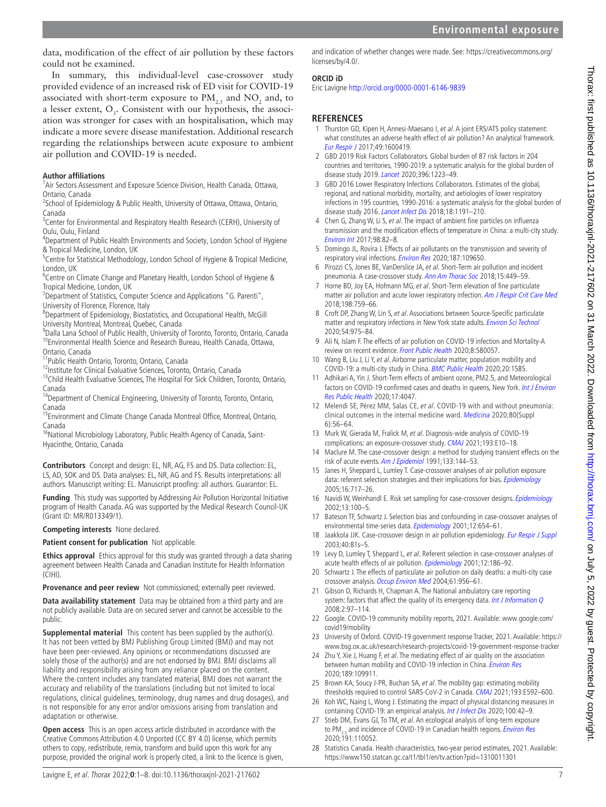data, modification of the effect of air pollution by these factors could not be examined.

In summary, this individual-level case-crossover study provided evidence of an increased risk of ED visit for COVID-19 associated with short-term exposure to  $\text{PM}_{2.5}$  and  $\text{NO}_2$  and, to a lesser extent,  $O_3$ . Consistent with our hypothesis, the association was stronger for cases with an hospitalisation, which may indicate a more severe disease manifestation. Additional research regarding the relationships between acute exposure to ambient air pollution and COVID-19 is needed.

# **Author affiliations**

<sup>1</sup>Air Sectors Assessment and Exposure Science Division, Health Canada, Ottawa, Ontario, Canada

<sup>2</sup>School of Epidemiology & Public Health, University of Ottawa, Ottawa, Ontario, Canada

<sup>3</sup> Center for Environmental and Respiratory Health Research (CERH), University of Oulu, Oulu, Finland

<sup>4</sup>Department of Public Health Environments and Society, London School of Hygiene & Tropical Medicine, London, UK

<sup>5</sup> Centre for Statistical Methodology, London School of Hygiene & Tropical Medicine, London, UK

<sup>6</sup> Centre on Climate Change and Planetary Health, London School of Hygiene & Tropical Medicine, London, UK

<sup>7</sup>Department of Statistics, Computer Science and Applications "G. Parenti", University of Florence, Florence, Italy

<sup>8</sup>Department of Epidemiology, Biostatistics, and Occupational Health, McGill University Montreal, Montreal, Quebec, Canada

9 Dalla Lana School of Public Health, University of Toronto, Toronto, Ontario, Canada <sup>10</sup>Environmental Health Science and Research Bureau, Health Canada, Ottawa, Ontario, Canada

11Public Health Ontario, Toronto, Ontario, Canada

<sup>12</sup>Institute for Clinical Evaluative Sciences, Toronto, Ontario, Canada

<sup>13</sup>Child Health Evaluative Sciences, The Hospital For Sick Children, Toronto, Ontario, Canada

<sup>14</sup>Department of Chemical Engineering, University of Toronto, Toronto, Ontario, Canada

<sup>15</sup>Environment and Climate Change Canada Montreal Office, Montreal, Ontario, Canada

<sup>16</sup>National Microbiology Laboratory, Public Health Agency of Canada, Saint-Hyacinthe, Ontario, Canada

**Contributors** Concept and design: EL, NR, AG, FS and DS. Data collection: EL, LS, AD, SOK and DS. Data analyses: EL, NR, AG and FS. Results interpretations: all authors. Manuscript writing: EL. Manuscript proofing: all authors. Guarantor: EL.

**Funding** This study was supported by Addressing Air Pollution Horizontal Initiative program of Health Canada. AG was supported by the Medical Research Council-UK (Grant ID: MR/R013349/1).

# **Competing interests** None declared.

# **Patient consent for publication** Not applicable.

**Ethics approval** Ethics approval for this study was granted through a data sharing agreement between Health Canada and Canadian Institute for Health Information (CIHI).

**Provenance and peer review** Not commissioned; externally peer reviewed.

**Data availability statement** Data may be obtained from a third party and are not publicly available. Data are on secured server and cannot be accessible to the public.

**Supplemental material** This content has been supplied by the author(s). It has not been vetted by BMJ Publishing Group Limited (BMJ) and may not have been peer-reviewed. Any opinions or recommendations discussed are solely those of the author(s) and are not endorsed by BMJ. BMJ disclaims all liability and responsibility arising from any reliance placed on the content. Where the content includes any translated material, BMJ does not warrant the accuracy and reliability of the translations (including but not limited to local regulations, clinical guidelines, terminology, drug names and drug dosages), and is not responsible for any error and/or omissions arising from translation and adaptation or otherwise.

**Open access** This is an open access article distributed in accordance with the Creative Commons Attribution 4.0 Unported (CC BY 4.0) license, which permits others to copy, redistribute, remix, transform and build upon this work for any purpose, provided the original work is properly cited, a link to the licence is given,

and indication of whether changes were made. See: [https://creativecommons.org/](https://creativecommons.org/licenses/by/4.0/) [licenses/by/4.0/.](https://creativecommons.org/licenses/by/4.0/)

#### **ORCID iD**

Eric Lavigne<http://orcid.org/0000-0001-6146-9839>

# **REFERENCES**

- <span id="page-6-0"></span>1 Thurston GD, Kipen H, Annesi-Maesano I, et al. A joint ERS/ATS policy statement: what constitutes an adverse health effect of air pollution? An analytical framework. [Eur Respir J](http://dx.doi.org/10.1183/13993003.00419-2016) 2017;49:1600419.
- <span id="page-6-1"></span>2 GBD 2019 Risk Factors Collaborators. Global burden of 87 risk factors in 204 countries and territories, 1990-2019: a systematic analysis for the global burden of disease study 2019. [Lancet](http://dx.doi.org/10.1016/S0140-6736(20)30752-2) 2020;396:1223–49.
- <span id="page-6-2"></span>3 GBD 2016 Lower Respiratory Infections Collaborators. Estimates of the global, regional, and national morbidity, mortality, and aetiologies of lower respiratory infections in 195 countries, 1990-2016: a systematic analysis for the global burden of disease study 2016. [Lancet Infect Dis](http://dx.doi.org/10.1016/S1473-3099(18)30310-4) 2018;18:1191-210.
- 4 Chen G, Zhang W, Li S, et al. The impact of ambient fine particles on influenza transmission and the modification effects of temperature in China: a multi-city study. [Environ Int](http://dx.doi.org/10.1016/j.envint.2016.10.004) 2017;98:82–8.
- <span id="page-6-5"></span>5 Domingo JL, Rovira J. Effects of air pollutants on the transmission and severity of respiratory viral infections. [Environ Res](http://dx.doi.org/10.1016/j.envres.2020.109650) 2020;187:109650.
- 6 Pirozzi CS, Jones BE, VanDerslice JA, et al. Short-Term air pollution and incident pneumonia. A case-crossover study. [Ann Am Thorac Soc](http://dx.doi.org/10.1513/AnnalsATS.201706-495OC) 2018;15:449-59.
- 7 Horne BD, Joy EA, Hofmann MG, et al. Short-Term elevation of fine particulate matter air pollution and acute lower respiratory infection. [Am J Respir Crit Care Med](http://dx.doi.org/10.1164/rccm.201709-1883OC) 2018;198:759–66.
- 8 Croft DP, Zhang W, Lin S, et al. Associations between Source-Specific particulate matter and respiratory infections in New York state adults. [Environ Sci Technol](http://dx.doi.org/10.1021/acs.est.9b04295) 2020;54:975–84.
- <span id="page-6-3"></span>9 Ali N, Islam F. The effects of air pollution on COVID-19 infection and Mortality-A review on recent evidence. [Front Public Health](http://dx.doi.org/10.3389/fpubh.2020.580057) 2020;8:580057.
- <span id="page-6-4"></span>10 Wang B, Liu J, Li Y, et al. Airborne particulate matter, population mobility and COVID-19: a multi-city study in China. [BMC Public Health](http://dx.doi.org/10.1186/s12889-020-09669-3) 2020;20:1585.
- 11 Adhikari A, Yin J. Short-Term effects of ambient ozone, PM2.5, and Meteorological factors on COVID-19 confirmed cases and deaths in queens, New York. Int J Environ [Res Public Health](http://dx.doi.org/10.3390/ijerph17114047) 2020;17:4047.
- <span id="page-6-6"></span>12 Melendi SE, Pérez MM, Salas CE, et al. COVID-19 with and without pneumonia: clinical outcomes in the internal medicine ward. [Medicina](http://www.ncbi.nlm.nih.gov/pubmed/33481734) 2020;80(Suppl 6):56–64.
- <span id="page-6-11"></span>13 Murk W, Gierada M, Fralick M, et al. Diagnosis-wide analysis of COVID-19 complications: an exposure-crossover study. [CMAJ](http://dx.doi.org/10.1503/cmaj.201686) 2021;193:E10–18.
- <span id="page-6-7"></span>14 Maclure M. The case-crossover design: a method for studying transient effects on the risk of acute events. [Am J Epidemiol](http://dx.doi.org/10.1093/oxfordjournals.aje.a115853) 1991;133:144-53.
- <span id="page-6-8"></span>15 Janes H, Sheppard L, Lumley T. Case-crossover analyses of air pollution exposure data: referent selection strategies and their implications for bias. [Epidemiology](http://dx.doi.org/10.1097/01.ede.0000181315.18836.9d) 2005;16:717–26.
- <span id="page-6-9"></span>16 Navidi W, Weinhandl E. Risk set sampling for case-crossover designs. [Epidemiology](http://dx.doi.org/10.1097/00001648-200201000-00016) 2002;13:100–5.
- 17 Bateson TF, Schwartz J. Selection bias and confounding in case-crossover analyses of environmental time-series data. [Epidemiology](http://dx.doi.org/10.1097/00001648-200111000-00013) 2001;12:654-61.
- <span id="page-6-18"></span>18 Jaakkola JJK. Case-crossover design in air pollution epidemiology. [Eur Respir J Suppl](http://dx.doi.org/10.1183/09031936.03.00402703) 2003;40:81s–5.
- 19 Levy D, Lumley T, Sheppard L, et al. Referent selection in case-crossover analyses of acute health effects of air pollution. [Epidemiology](http://dx.doi.org/10.1097/00001648-200103000-00010) 2001;12:186–92.
- 20 Schwartz J. The effects of particulate air pollution on daily deaths: a multi-city case crossover analysis. [Occup Environ Med](http://dx.doi.org/10.1136/oem.2003.008250) 2004;61:956-61.
- <span id="page-6-10"></span>21 Gibson D, Richards H, Chapman A. The National ambulatory care reporting system: factors that affect the quality of its emergency data. [Int J Information Q](http://dx.doi.org/10.1504/IJIQ.2008.022958) 2008;2:97–114.
- <span id="page-6-12"></span>22 Google. COVID-19 community mobility reports, 2021. Available: [www.google.com/](www.google.com/%20covid19/mobility)  [covid19/mobility](www.google.com/%20covid19/mobility)
- <span id="page-6-13"></span>23 University of Oxford. COVID-19 government response Tracker, 2021. Available: [https://](https://www.bsg.ox.ac.uk/research/research-projects/covid-19-government-response-tracker) [www.bsg.ox.ac.uk/research/research-projects/covid-19-government-response-tracker](https://www.bsg.ox.ac.uk/research/research-projects/covid-19-government-response-tracker)
- <span id="page-6-14"></span>24 Zhu Y, Xie J, Huang F, et al. The mediating effect of air quality on the association between human mobility and COVID-19 infection in China. [Environ Res](http://dx.doi.org/10.1016/j.envres.2020.109911) 2020;189:109911.
- <span id="page-6-15"></span>25 Brown KA, Soucy J-PR, Buchan SA, et al. The mobility gap: estimating mobility thresholds required to control SARS-CoV-2 in Canada. [CMAJ](http://dx.doi.org/10.1503/cmaj.210132) 2021;193:E592–600.
- 26 Koh WC, Naing L, Wong J. Estimating the impact of physical distancing measures in containing COVID-19: an empirical analysis. [Int J Infect Dis](http://dx.doi.org/10.1016/j.ijid.2020.08.026) 2020;100:42-9.
- <span id="page-6-16"></span>27 Stieb DM, Evans GJ, To TM, et al. An ecological analysis of long-term exposure to PM<sub>3.5</sub> and incidence of COVID-19 in Canadian health regions. *[Environ Res](http://dx.doi.org/10.1016/j.envres.2020.110052)* 2020;191:110052.
- <span id="page-6-17"></span>28 Statistics Canada. Health characteristics, two-year period estimates, 2021. Available: <https://www150.statcan.gc.ca/t1/tbl1/en/tv.action?pid=1310011301>

Thorax: first published as 10.1136/thoraxjnl-2021-217602 on 31 March 2022. Downloaded from http://thorax.bmj.com/ on July 5, 2022 by guest. Protected by copyright Thorax: first published as 10.1136/thoraxjnl-2021-217602 on 31 March 2022. Downloaded from thp://thorax.bmj.com/ on July 5, 2022 by guest. Protected by copyright.